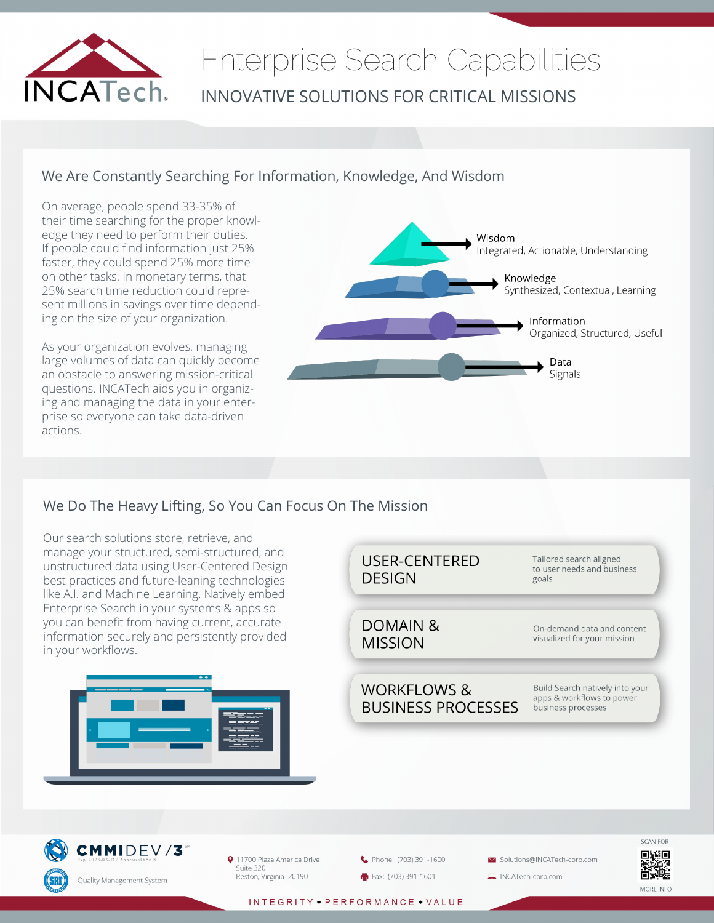

# Enterprise Search Capabilities INNOVATIVE SOLUTIONS FOR CRITICAL MISSIONS

### We Are Constantly Searching For Information, Knowledge, And Wisdom

On average, people spend 33-35% of their time searching for the proper knowledge they need to perform their duties. If people could find information just 25% faster, they could spend 25% more time on other tasks. In monetary terms, that 25% search time reduction could represent millions in savings over time depending on the size of your organization.

As your organization evolves, managing large volumes of data can quickly become an obstacle to answering mission-critical questions. INCATech aids you in organizing and managing the data in your enterprise so everyone can take data-driven actions.



### We Do The Heavy Lifting, So You Can Focus On The Mission